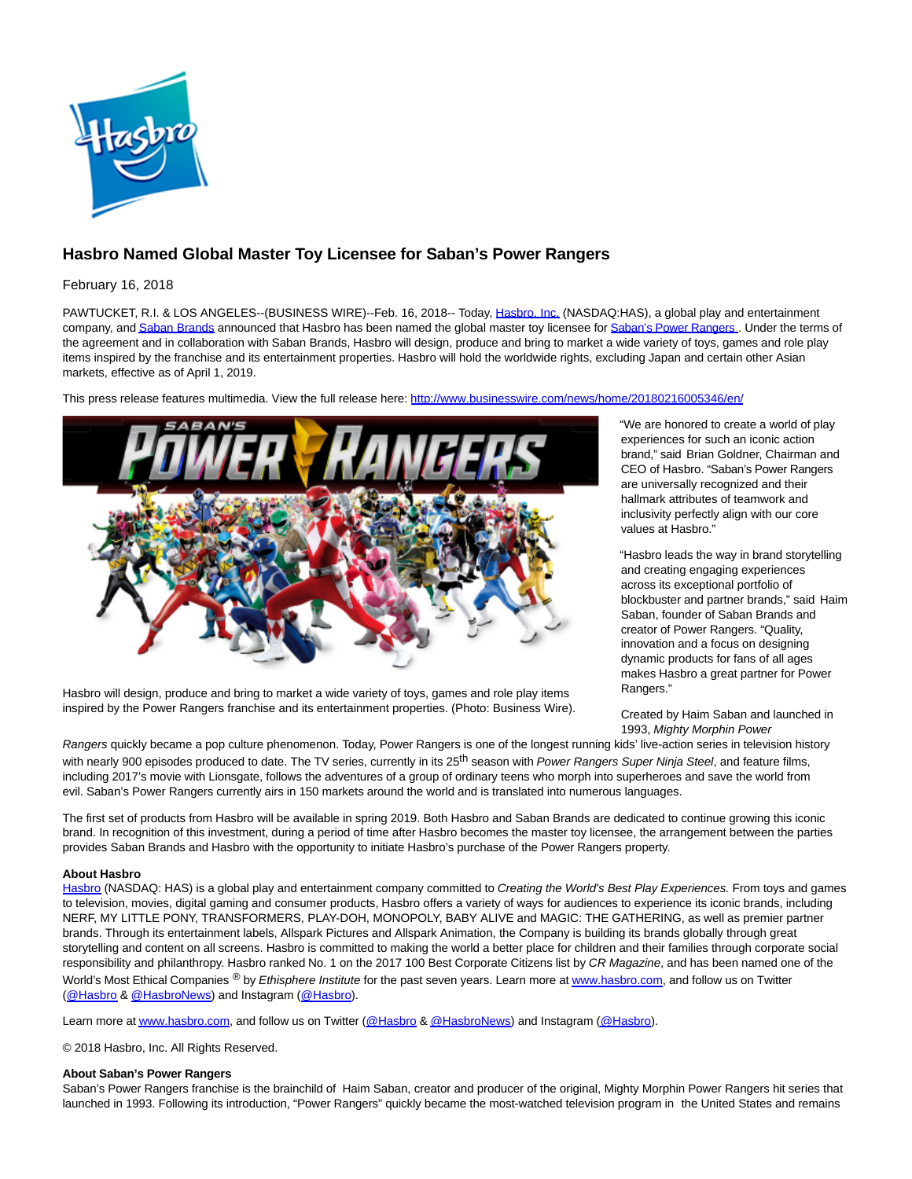

# **Hasbro Named Global Master Toy Licensee for Saban's Power Rangers**

February 16, 2018

PAWTUCKET, R.I. & LOS ANGELES--(BUSINESS WIRE)--Feb. 16, 2018-- Today, [Hasbro, Inc. \(](http://cts.businesswire.com/ct/CT?id=smartlink&url=http%3A%2F%2Fwww.hasbro.com%2F&esheet=51760098&newsitemid=20180216005346&lan=en-US&anchor=Hasbro%2C+Inc.&index=1&md5=8816b15a27d1ae100cc4d5c6a792b7a4)NASDAQ:HAS), a global play and entertainment company, an[d Saban Brands a](http://cts.businesswire.com/ct/CT?id=smartlink&url=http%3A%2F%2Fwww.sabanbrands.com%2F&esheet=51760098&newsitemid=20180216005346&lan=en-US&anchor=Saban+Brands&index=2&md5=d4c7128aab32bcc7bda15e1015b84456)nnounced that Hasbro has been named the global master toy licensee fo[r Saban's Power Rangers](http://cts.businesswire.com/ct/CT?id=smartlink&url=http%3A%2F%2Fwww.powerrangers.com%2F&esheet=51760098&newsitemid=20180216005346&lan=en-US&anchor=Saban%27s+Power+Rangers&index=3&md5=6a91bf109246f0c6ee79b42198027574). Under the terms of the agreement and in collaboration with Saban Brands, Hasbro will design, produce and bring to market a wide variety of toys, games and role play items inspired by the franchise and its entertainment properties. Hasbro will hold the worldwide rights, excluding Japan and certain other Asian markets, effective as of April 1, 2019.

This press release features multimedia. View the full release here:<http://www.businesswire.com/news/home/20180216005346/en/>



Hasbro will design, produce and bring to market a wide variety of toys, games and role play items inspired by the Power Rangers franchise and its entertainment properties. (Photo: Business Wire). "We are honored to create a world of play experiences for such an iconic action brand," said Brian Goldner, Chairman and CEO of Hasbro. "Saban's Power Rangers are universally recognized and their hallmark attributes of teamwork and inclusivity perfectly align with our core values at Hasbro."

"Hasbro leads the way in brand storytelling and creating engaging experiences across its exceptional portfolio of blockbuster and partner brands," said Haim Saban, founder of Saban Brands and creator of Power Rangers. "Quality, innovation and a focus on designing dynamic products for fans of all ages makes Hasbro a great partner for Power Rangers."

Created by Haim Saban and launched in 1993, Mighty Morphin Power

Rangers quickly became a pop culture phenomenon. Today, Power Rangers is one of the longest running kids' live-action series in television history with nearly 900 episodes produced to date. The TV series, currently in its 25<sup>th</sup> season with Power Rangers Super Ninja Steel, and feature films, including 2017's movie with Lionsgate, follows the adventures of a group of ordinary teens who morph into superheroes and save the world from evil. Saban's Power Rangers currently airs in 150 markets around the world and is translated into numerous languages.

The first set of products from Hasbro will be available in spring 2019. Both Hasbro and Saban Brands are dedicated to continue growing this iconic brand. In recognition of this investment, during a period of time after Hasbro becomes the master toy licensee, the arrangement between the parties provides Saban Brands and Hasbro with the opportunity to initiate Hasbro's purchase of the Power Rangers property.

# **About Hasbro**

[Hasbro \(](http://cts.businesswire.com/ct/CT?id=smartlink&url=http%3A%2F%2Fwww.hasbro.com&esheet=51760098&newsitemid=20180216005346&lan=en-US&anchor=Hasbro&index=4&md5=04e71fd46d6a0a20a637426d2b59684e)NASDAQ: HAS) is a global play and entertainment company committed to Creating the World's Best Play Experiences. From toys and games to television, movies, digital gaming and consumer products, Hasbro offers a variety of ways for audiences to experience its iconic brands, including NERF, MY LITTLE PONY, TRANSFORMERS, PLAY-DOH, MONOPOLY, BABY ALIVE and MAGIC: THE GATHERING, as well as premier partner brands. Through its entertainment labels, Allspark Pictures and Allspark Animation, the Company is building its brands globally through great storytelling and content on all screens. Hasbro is committed to making the world a better place for children and their families through corporate social responsibility and philanthropy. Hasbro ranked No. 1 on the 2017 100 Best Corporate Citizens list by CR Magazine, and has been named one of the World's Most Ethical Companies ® by Ethisphere Institute for the past seven years. Learn more a[t www.hasbro.com,](http://cts.businesswire.com/ct/CT?id=smartlink&url=http%3A%2F%2Fwww.hasbro.com%2F&esheet=51760098&newsitemid=20180216005346&lan=en-US&anchor=www.hasbro.com&index=5&md5=f4bcbf33a0a9276ec58b9f50b58c026d) and follow us on Twitter [\(@Hasbro &](http://cts.businesswire.com/ct/CT?id=smartlink&url=https%3A%2F%2Ftwitter.com%2FHasbro&esheet=51760098&newsitemid=20180216005346&lan=en-US&anchor=%40Hasbro&index=6&md5=6bc6873937927d4b39391c98e2e0cd01) [@HasbroNews\)](http://cts.businesswire.com/ct/CT?id=smartlink&url=https%3A%2F%2Ftwitter.com%2FHasbroNews&esheet=51760098&newsitemid=20180216005346&lan=en-US&anchor=%40HasbroNews&index=7&md5=584f5e6ff883faacadfc202deb3101ec) and Instagram [\(@Hasbro\).](http://cts.businesswire.com/ct/CT?id=smartlink&url=https%3A%2F%2Finstagram.com%2Fhasbro%2F%3Fhl%3Den&esheet=51760098&newsitemid=20180216005346&lan=en-US&anchor=%40Hasbro&index=8&md5=6fe11a54bd1233cee6bc5aae50c3cdf6)

Learn more a[t www.hasbro.com,](http://cts.businesswire.com/ct/CT?id=smartlink&url=http%3A%2F%2Fwww.hasbro.com%2F&esheet=51760098&newsitemid=20180216005346&lan=en-US&anchor=www.hasbro.com&index=9&md5=019c35b776bf24bd1703276f7b51b668) and follow us on Twitter [\(@Hasbro &](http://cts.businesswire.com/ct/CT?id=smartlink&url=https%3A%2F%2Ftwitter.com%2FHasbro&esheet=51760098&newsitemid=20180216005346&lan=en-US&anchor=%40Hasbro&index=10&md5=ccb861c80574ac5406278572c46f2f05) [@HasbroNews\)](http://cts.businesswire.com/ct/CT?id=smartlink&url=https%3A%2F%2Ftwitter.com%2FHasbroNews&esheet=51760098&newsitemid=20180216005346&lan=en-US&anchor=%40HasbroNews&index=11&md5=35214007889b02bb7d5d0939ea672875) and Instagram [\(@Hasbro\).](http://cts.businesswire.com/ct/CT?id=smartlink&url=https%3A%2F%2Finstagram.com%2Fhasbro%2F%3Fhl%3Den&esheet=51760098&newsitemid=20180216005346&lan=en-US&anchor=%40Hasbro&index=12&md5=7393a78be1438866e4796f21b9d1fb05)

© 2018 Hasbro, Inc. All Rights Reserved.

#### **About Saban's Power Rangers**

Saban's Power Rangers franchise is the brainchild of Haim Saban, creator and producer of the original, Mighty Morphin Power Rangers hit series that launched in 1993. Following its introduction, "Power Rangers" quickly became the most-watched television program in the United States and remains